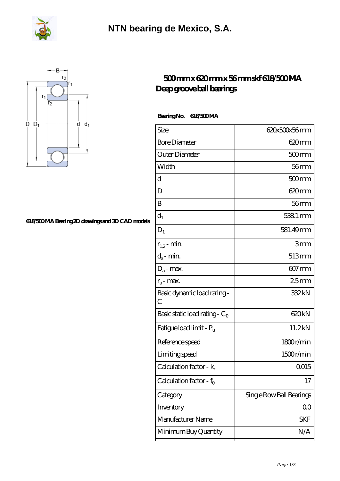



## **[618/500 MA Bearing 2D drawings and 3D CAD models](https://m.fergusonheatncool.com/pic-64966325.html)**

## **[500 mm x 620 mm x 56 mm skf 618/500 MA](https://m.fergusonheatncool.com/bs-64966325-skf-618-500-ma-deep-groove-ball-bearings.html) [Deep groove ball bearings](https://m.fergusonheatncool.com/bs-64966325-skf-618-500-ma-deep-groove-ball-bearings.html)**

 **Bearing No. 618/500 MA**

| Size                             | 620x500x56mm             |
|----------------------------------|--------------------------|
| <b>Bore Diameter</b>             | 620mm                    |
| Outer Diameter                   | $500$ mm                 |
| Width                            | $56$ mm                  |
| d                                | 500mm                    |
| D                                | 620 <sub>mm</sub>        |
| B                                | 56mm                     |
| $d_1$                            | 5381 mm                  |
| $D_1$                            | 581.49mm                 |
| $r_{1,2}$ - min.                 | 3mm                      |
| $d_a$ - min.                     | 513mm                    |
| $D_a$ - max.                     | $607 \,\mathrm{mm}$      |
| $r_a$ - max.                     | 25mm                     |
| Basic dynamic load rating-<br>С  | 332kN                    |
| Basic static load rating - $C_0$ | 620kN                    |
| Fatigue load limit - Pu          | 11.2kN                   |
| Reference speed                  | 1800r/min                |
| Limiting speed                   | 1500r/min                |
| Calculation factor - $k_r$       | 0015                     |
| Calculation factor - $f_0$       | 17                       |
| Category                         | Single Row Ball Bearings |
| Inventory                        | $00\,$                   |
| Manufacturer Name                | SKF                      |
| Minimum Buy Quantity             | N/A                      |
|                                  |                          |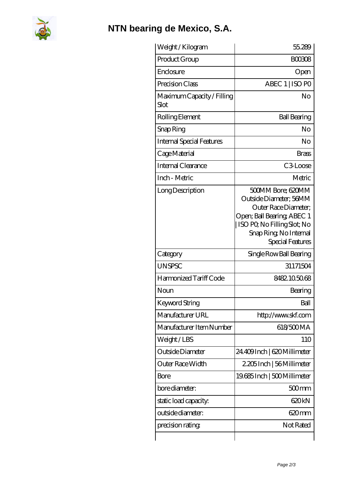

## **[NTN bearing de Mexico, S.A.](https://m.fergusonheatncool.com)**

| Weight/Kilogram                    | 55.289                                                                                                                                                                         |
|------------------------------------|--------------------------------------------------------------------------------------------------------------------------------------------------------------------------------|
| Product Group                      | <b>BOO308</b>                                                                                                                                                                  |
| Enclosure                          | Open                                                                                                                                                                           |
| Precision Class                    | ABEC 1   ISO PO                                                                                                                                                                |
| Maximum Capacity / Filling<br>Slot | No                                                                                                                                                                             |
| Rolling Element                    | <b>Ball Bearing</b>                                                                                                                                                            |
| Snap Ring                          | No                                                                                                                                                                             |
| <b>Internal Special Features</b>   | No                                                                                                                                                                             |
| Cage Material                      | <b>Brass</b>                                                                                                                                                                   |
| Internal Clearance                 | C <sub>3</sub> Loose                                                                                                                                                           |
| Inch - Metric                      | Metric                                                                                                                                                                         |
| Long Description                   | 500MM Bore; 620MM<br>Outside Diameter; 56MM<br>Outer Race Diameter:<br>Open; Ball Bearing; ABEC 1<br>ISO PO, No Filling Slot; No<br>Snap Ring, No Internal<br>Special Features |
| Category                           | Single Row Ball Bearing                                                                                                                                                        |
| <b>UNSPSC</b>                      | 31171504                                                                                                                                                                       |
| Harmonized Tariff Code             | 8482105068                                                                                                                                                                     |
| Noun                               | Bearing                                                                                                                                                                        |
| Keyword String                     | Ball                                                                                                                                                                           |
| Manufacturer URL                   | http://www.skf.com                                                                                                                                                             |
| Manufacturer Item Number           | 618/500MA                                                                                                                                                                      |
| Weight/LBS                         | 110                                                                                                                                                                            |
| Outside Diameter                   | 24.409Inch   620 Millimeter                                                                                                                                                    |
| Outer Race Width                   | 2.205 Inch   56 Millimeter                                                                                                                                                     |
| Bore                               | 19.685 Inch   500 Millimeter                                                                                                                                                   |
| bore diameter:                     | $500$ mm                                                                                                                                                                       |
| static load capacity:              | 620kN                                                                                                                                                                          |
| outside diameter:                  | 620mm                                                                                                                                                                          |
| precision rating                   | Not Rated                                                                                                                                                                      |
|                                    |                                                                                                                                                                                |